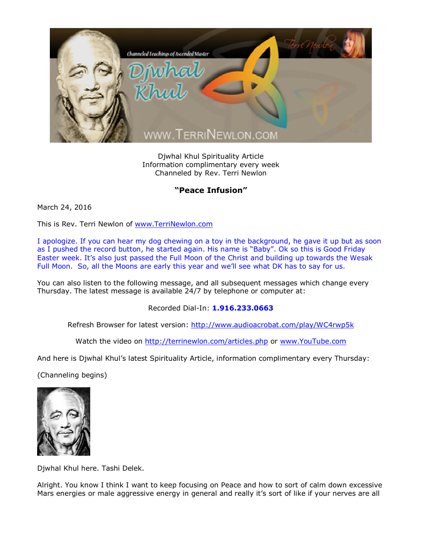

Djwhal Khul Spirituality Article Information complimentary every week Channeled by Rev. Terri Newlon

## **"Peace Infusion"**

March 24, 2016

This is Rev. Terri Newlon of [www.TerriNewlon.com](http://www.terrinewlon.com/)

I apologize. If you can hear my dog chewing on a toy in the background, he gave it up but as soon as I pushed the record button, he started again. His name is "Baby". Ok so this is Good Friday Easter week. It's also just passed the Full Moon of the Christ and building up towards the Wesak Full Moon. So, all the Moons are early this year and we'll see what DK has to say for us.

You can also listen to the following message, and all subsequent messages which change every Thursday. The latest message is available 24/7 by telephone or computer at:

Recorded Dial-In: **1.916.233.0663**

Refresh Browser for latest version: <http://www.audioacrobat.com/play/WC4rwp5k>

Watch the video on <http://terrinewlon.com/articles.php> or [www.YouTube.com](http://www.youtube.com/)

And here is Djwhal Khul's latest Spirituality Article, information complimentary every Thursday:

(Channeling begins)



Djwhal Khul here. Tashi Delek.

Alright. You know I think I want to keep focusing on Peace and how to sort of calm down excessive Mars energies or male aggressive energy in general and really it's sort of like if your nerves are all